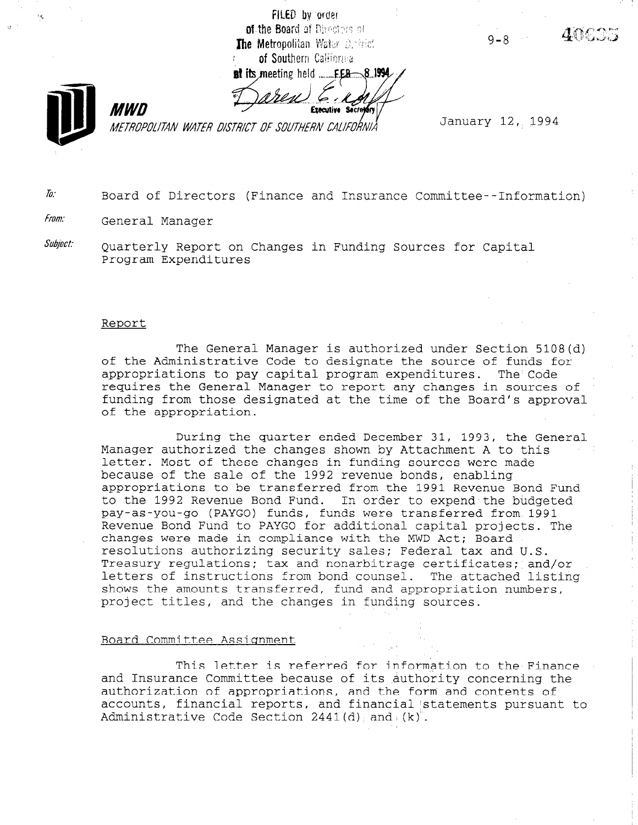FILED by order of the Board of Directors of The Metropolitan Water Detrict of Southern California

**at its meeting held**...

 $FEB - 81994$ 

**Executive Secre** 

**MWN** METROPOLITAN WATER DISTRICT OF SOUTHERN CALIFORNIÀ  $9 - 8$ 



January 12, 1994

 $\bar{h}$ : Board of Directors (Finance and Insurance Committee--Information)

From: General Manager

 $\textit{Subject:} \qquad$  Quarterly Report on Changes in Funding Sources for Capital Program Expenditures

#### Report

The General Manager is authorized under Section 5108(d) of the Administrative Code to designate the source of funds for appropriations to pay capital program expenditures. The Code requires the General Manager to report any changes in sources of funding from those designated at the time of the Board's approval of the appropriation.

During the quarter ended December 31, 1993, the General Manager authorized the changes shown by Attachment A to this letter. Most of these changes in funding sources were made because of the sale of the 1992 revenue bonds, enabling appropriations to be transferred from the 1991 Revenue Bond Fund to the 1992 Revenue Bond Fund. In order to expend the budgeted pay-as-you-go (PAYGO) funds, funds were transferred from 1991 Revenue Bond Fund to PAYGO for additional capital projects. The changes were made in compliance with the MWD Act; Board resolutions authorizing security sales; Federal tax and U.S. Treasury regulations; tax and nonarbitrage certificates; and/or letters of instructions from bond counsel. The attached listing shows the amounts transferred, fund and appropriation numbers, project titles, and the changes in funding source

#### Board Committee Assiqnment

This letter is referred for information to the Finance and Insurance Committee because of its authority concerning the structure of  $\epsilon$ and insurance committee because of its authority concerning t authorization of appropriations, and the form and contents of accounts, financial reports, and financial statements pursuant to Administrative Code Section  $2441(\ddot{d})$ , and  $(k)^2$ .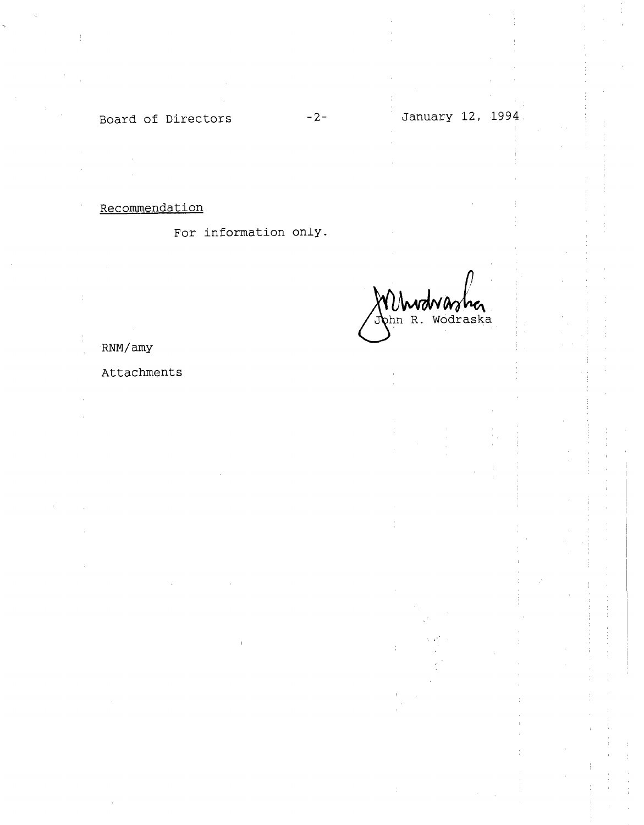# Board of Directors -2-

## Recommendation

For information only.

Mhudwarher<br>John R. Wodraska

RNM/amy

## Attachments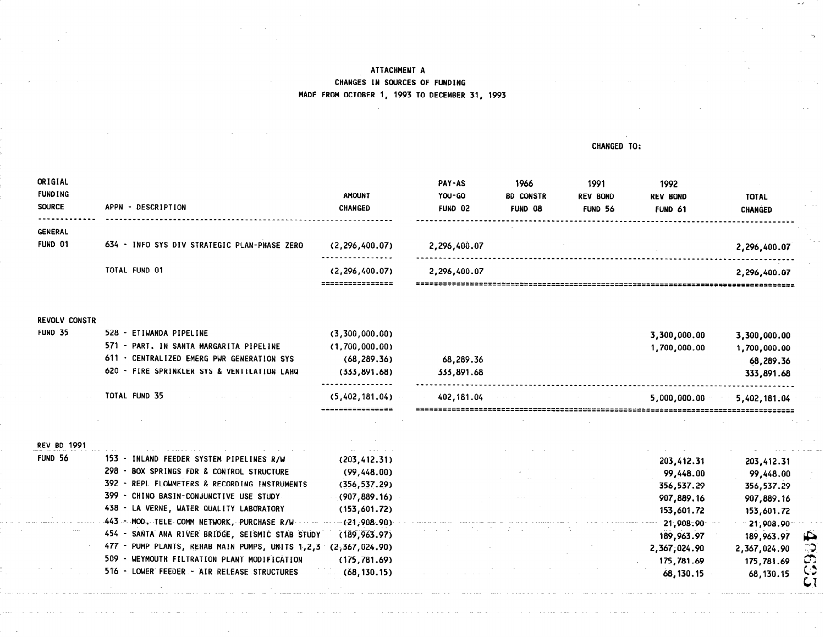#### CHANGED TO:

 $\sim$   $\times$ 

| ORIGIAL<br><b>FUNDING</b><br><b>SOURCE</b> | - DESCRIPTION<br><b>APPN</b>                 | <b>AMOUNT</b><br><b>CHANGED</b>   | <b>PAY-AS</b><br>YOU-GO<br>FUND 02 | 1966<br><b>BD CONSTR</b><br><b>FUND 08</b> | 1991<br><b>REV BOND</b><br>FUND 56 | 1992<br><b>REV BOND</b><br>FUND 61 | <b>TOTAL</b><br><b>CHANGED</b> |
|--------------------------------------------|----------------------------------------------|-----------------------------------|------------------------------------|--------------------------------------------|------------------------------------|------------------------------------|--------------------------------|
| GENERAL<br>FUND 01                         | 634 - INFO SYS DIV STRATEGIC PLAN-PHASE ZERO | (2, 296, 400.07)<br>----------    | 2,296,400.07                       |                                            |                                    |                                    | 2,296,400.07                   |
|                                            | TOTAL FUND 01                                | (2, 296, 400.07)<br>============= | 2,296,400.07                       |                                            |                                    |                                    | 2,296,400.07                   |

REVOLV CONSTR

|                | TOTAL FUND 35<br>the control of the second control of the control of | (5,402,181.04)<br>===============  | 402.181.04<br>$\mathcal{A}$ , and $\mathcal{A}$ are $\mathcal{A}$ , and $\mathcal{A}$ , and $\mathcal{A}$ | 5.000.000.00 | 5,402,181,04 |
|----------------|----------------------------------------------------------------------|------------------------------------|-----------------------------------------------------------------------------------------------------------|--------------|--------------|
|                | 620 - FIRE SPRINKLER SYS & VENTILATION LAHO                          | (333, 891, 68)<br>---------------- | 333,891.68                                                                                                |              | 333,891.68   |
|                | 611 - CENTRALIZED EMERG PWR GENERATION SYS                           | (68, 289, 36)                      | 68,289.36                                                                                                 |              | 68,289.36    |
|                | 571 - PART. IN SANTA MARGARITA PIPELINE                              | (1,700,000.00)                     |                                                                                                           | 1,700,000.00 | 1,700,000.00 |
| <b>FUND 35</b> | 528 - ETIWANDA PIPELINE                                              | (3,300,000.00)                     |                                                                                                           | 3,300,000.00 | 3,300,000.00 |

| <b>REV BD 1991</b> |                                                      |                |  |              |              |    |
|--------------------|------------------------------------------------------|----------------|--|--------------|--------------|----|
| FUND 56            | 153 - INLAND FEEDER SYSTEM PIPELINES R/W             | (203, 412, 31) |  | 203,412.31   | 203,412.31   |    |
|                    | 298 - BOX SPRINGS FDR & CONTROL STRUCTURE            | (99, 448, 00)  |  | 99,448.00    | 99,448.00    |    |
|                    | 392 - REPL FLOWMETERS & RECORDING INSTRUMENTS        | (356, 537.29)  |  | 356,537.29   | 356,537.29   |    |
|                    | 399 - CHINO BASIN-CONJUNCTIVE USE STUDY              | (907,889.16)   |  | 907,889.16   | 907,889.16   |    |
|                    | 438 - LA VERNE, WATER QUALITY LABORATORY             | (153,601,72)   |  | 153,601.72   | 153,601.72   |    |
|                    | 443 - MOD. TELE COMM NETWORK, PURCHASE R/W - - - - - | (21,908.90)    |  | 21,908.90    | 21,908.90    |    |
|                    | 454 - SANTA ANA RIVER BRIDGE, SEISMIC STAB STUDY     | (189, 963, 97) |  | 189,963.97   | 189,963.97   | Ю. |
|                    | 477 - PUMP PLANTS, REHAB MAIN PUMPS, UNITS 1,2,3     | (2,367,024.90) |  | 2,367,024.90 | 2,367,024.90 |    |
|                    | 509 - WEYMOUTH FILTRATION PLANT MODIFICATION         | (175, 781, 69) |  | 175,781.69   | 175,781.69   |    |
|                    | 516 - LOWER FEEDER - AIR RELEASE STRUCTURES          | (68, 130, 15)  |  | 68,130.15    | 68,130.15    |    |
|                    |                                                      |                |  |              |              |    |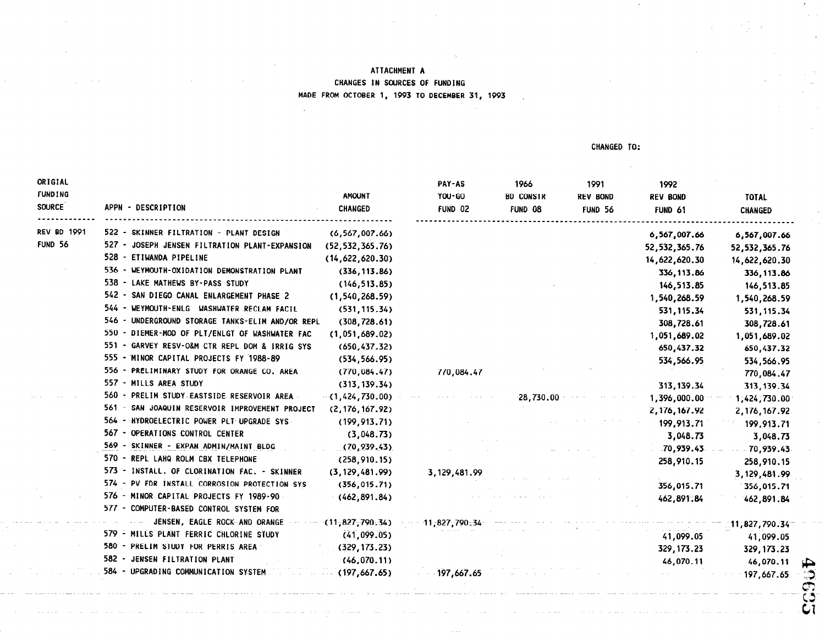CHANGED TO:

| ORIGIAL<br><b>FUNDING</b><br><b>SOURCE</b> | APPN - DESCRIPTION                               | <b>AMOUNT</b><br>CHANGED | PAY-AS<br>YOU-GO<br>FUND 02 | 1966<br><b>BD CONSTR</b><br>FUND 08 | 1991<br><b>REV BOND</b><br>FUND 56 | 1992<br><b>REV BOND</b><br>FUND 61 | <b>TOTAL</b><br><b>CHANGED</b> |         |
|--------------------------------------------|--------------------------------------------------|--------------------------|-----------------------------|-------------------------------------|------------------------------------|------------------------------------|--------------------------------|---------|
| <b>REV BD 1991</b>                         | 522 - SKINNER FILTRATION - PLANT DESIGN          | (6, 567, 007.66)         |                             |                                     |                                    | 6,567,007.66                       | 6,567,007.66                   |         |
| <b>FUND 56</b>                             | 527 - JOSEPH JENSEN FILTRATION PLANT-EXPANSION   | (52, 532, 365.76)        |                             |                                     |                                    | 52, 532, 365. 76                   | 52, 532, 365.76                |         |
|                                            | 528 - ETIWANDA PIPELINE                          | (14,622,620.30)          |                             |                                     |                                    | 14,622,620.30                      | 14,622,620.30                  |         |
|                                            | 536 - WEYMOUTH-OXIDATION DEMONSTRATION PLANT     | (336, 113.86)            |                             |                                     |                                    | 336, 113.86                        | 336, 113.86                    |         |
|                                            | 538 - LAKE MATHEWS BY-PASS STUDY                 | (146, 513.85)            |                             |                                     |                                    | 146,513.85                         | 146,513.85                     |         |
|                                            | 542 - SAN DIEGO CANAL ENLARGEMENT PHASE 2        | (1, 540, 268.59)         |                             |                                     |                                    | 1,540,268.59                       | 1,540,268.59                   |         |
|                                            | 544 - WEYMOUTH-ENLG WASHWATER RECLAM FACIL       | (531, 115.34)            |                             |                                     |                                    | 531, 115.34                        | 531, 115.34                    |         |
|                                            | 546 - UNDERGROUND STORAGE TANKS-ELIM AND/OR REPL | (308, 728.61)            |                             |                                     |                                    | 308,728.61                         | 308,728.61                     |         |
|                                            | 550 - DIEMER-MOD OF PLT/ENLGT OF WASHWATER FAC   | (1, 051, 689.02)         |                             |                                     |                                    | 1,051,689.02                       | 1,051,689.02                   |         |
|                                            | 551 - GARVEY RESV-O&M CTR REPL DOM & IRRIG SYS   | (650, 437.32)            |                             |                                     |                                    | 650,437.32                         | 650,437.32                     |         |
|                                            | 555 - MINOR CAPITAL PROJECTS FY 1988-89          | (534, 566.95)            |                             |                                     |                                    | 534,566.95                         | 534,566.95                     |         |
|                                            | 556 - PRELIMINARY STUDY FOR ORANGE CO. AREA      | (770, 084, 47)           | 770,084.47                  |                                     |                                    |                                    | 770,084.47                     |         |
|                                            | 557 - MILLS AREA STUDY                           | (313, 139.34)            |                             |                                     |                                    | 313, 139.34                        | 313, 139.34                    |         |
|                                            | 560 - PRELIM STUDY EASTSIDE RESERVOIR AREA       | $-(1,424,730.00)$        |                             | $-28.730.00$ $-$                    |                                    | 1,396,000.00                       | 1,424,730.00                   |         |
|                                            | 561 - SAN JOAQUIN RESERVOIR IMPROVEMENT PROJECT  | (2, 176, 167.92)         |                             |                                     |                                    | 2, 176, 167.92                     | 2, 176, 167.92                 |         |
|                                            | 564 - HYDROELECTRIC POWER PLT UPGRADE SYS        | (199, 913, 71)           |                             |                                     |                                    | 199,913.71                         | 199,913.71                     |         |
|                                            | 567 - OPERATIONS CONTROL CENTER                  | (3,048.73)               |                             |                                     |                                    | 3,048.73                           | 3,048.73                       |         |
|                                            | 569 - SKINNER - EXPAN ADMIN/MAINT BLDG           | (70, 939, 43)            |                             |                                     |                                    | $-70,939.43$                       | $- 70,939.43$                  |         |
|                                            | 570 - REPL LAHQ ROLM CBX TELEPHONE               | (258, 910, 15)           |                             |                                     |                                    | 258,910.15                         | 258,910.15                     |         |
|                                            | 573 - INSTALL. OF CLORINATION FAC. - SKINNER     | (3, 129, 481.99)         | 3, 129, 481.99              |                                     |                                    |                                    | 3, 129, 481.99                 |         |
|                                            | 574 - PV FDR INSTALL CORROSION PROTECTION SYS    | (356, 015.71)            |                             |                                     |                                    | 356,015.71                         | 356,015.71                     |         |
|                                            | 576 - MINOR CAPITAL PROJECTS FY 1989-90          | (462, 891.84)            |                             |                                     |                                    | 462,891.84                         | 462,891.84                     |         |
|                                            | 577 - COMPUTER-BASED CONTROL SYSTEM FOR          |                          |                             |                                     |                                    |                                    |                                |         |
|                                            | JENSEN, EAGLE ROCK AND ORANGE                    | $\cdots$ (11,827,790.34) | 11,827,790.34               |                                     |                                    |                                    | 11,827,790.34                  |         |
|                                            | 579 - MILLS PLANT FERRIC CHLORINE STUDY          | (41,099.05)              |                             |                                     |                                    | 41,099.05                          | 41,099.05                      |         |
|                                            | 580 - PRELIM STUDY FOR PERRIS AREA               | (329, 173, 23)           |                             |                                     |                                    | 329, 173.23                        | 329, 173.23                    |         |
|                                            | 582 - JENSEN FILTRATION PLANT                    | (46, 070, 11)            |                             |                                     |                                    | 46,070.11                          | 46,070.11                      | ₽       |
|                                            | 584 - UPGRADING COMMUNICATION SYSTEM             | (197, 667, 65)           | $-197,667.65$               |                                     |                                    |                                    | 197,667.65                     |         |
|                                            |                                                  |                          |                             |                                     |                                    |                                    |                                | د<br>ರಾ |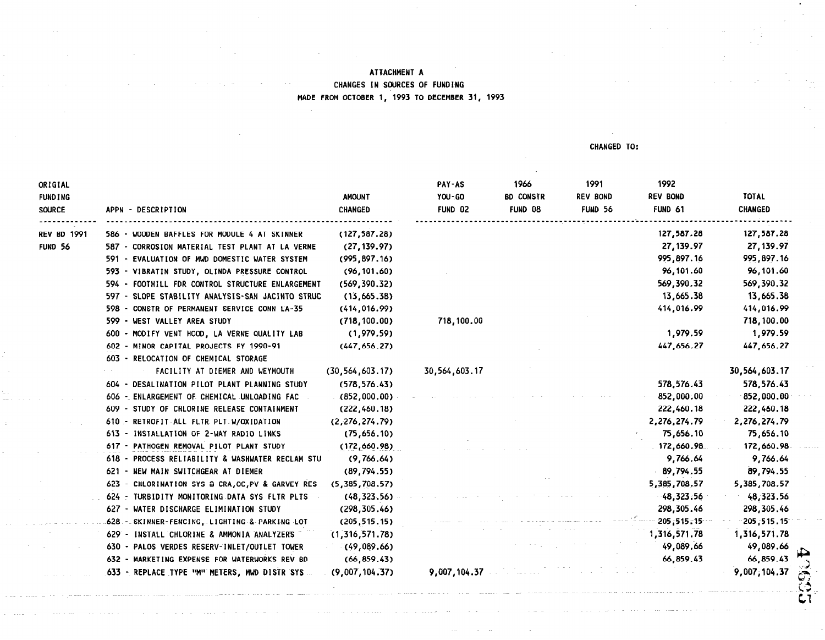CHANGED TO:

| ORIGIAL<br><b>FUNDING</b> |                                                   | <b>AMOUNT</b><br><b>CHANGED</b> | PAY-AS<br>YOU-GO | 1966<br><b>BD CONSTR</b> | 1991<br><b>REV BOND</b> | 1992<br><b>REV BOND</b><br>FUND 61 | <b>TOTAL</b><br><b>CHANGED</b> |
|---------------------------|---------------------------------------------------|---------------------------------|------------------|--------------------------|-------------------------|------------------------------------|--------------------------------|
| <b>SOURCE</b>             | APPN - DESCRIPTION                                |                                 | FUND 02          | FUND 08                  | FUND 56                 |                                    |                                |
| <b>REV BD 1991</b>        | 586 - WOODEN BAFFLES FOR MODULE 4 AT SKINNER      | (127, 587.28)                   |                  |                          |                         | 127,587.28                         | 127,587.28                     |
| FUND 56                   | 587 - CORROSION MATERIAL TEST PLANT AT LA VERNE   | (27, 139.97)                    |                  |                          |                         | 27, 139.97                         | 27, 139.97                     |
|                           | 591 - EVALUATION OF MWD DOMESTIC WATER SYSTEM     | (995, 897, 16)                  |                  |                          |                         | 995, 897.16                        | 995,897.16                     |
|                           | 593 - VIBRATIN STUDY, OLINDA PRESSURE CONTROL     | (96, 101, 60)                   |                  |                          |                         | 96,101.60                          | 96,101.60                      |
|                           | 594 - FOOTHILL FDR CONTROL STRUCTURE ENLARGEMENT  | (569, 390.32)                   |                  |                          |                         | 569,390.32                         | 569,390.32                     |
|                           | 597 - SLOPE STABILITY ANALYSIS-SAN JACINTO STRUC  | (13,665.38)                     |                  |                          |                         | 13,665.38                          | 13,665.38                      |
|                           | 598 - CONSTR OF PERMANENT SERVICE CONN LA-35      | (414, 016.99)                   |                  |                          |                         | 414,016.99                         | 414,016.99                     |
|                           | 599 - WEST VALLEY AREA STUDY                      | (718, 100.00)                   | 718,100.00       |                          |                         |                                    | 718,100.00                     |
|                           | 600 - MODIFY VENT HOOD, LA VERNE QUALITY LAB      | (1,979.59)                      |                  |                          |                         | 1,979.59                           | 1,979.59                       |
|                           | 602 - MINOR CAPITAL PROJECTS FY 1990-91           | (447, 656, 27)                  |                  |                          |                         | 447,656.27                         | 447,656.27                     |
|                           | 603 - RELOCATION OF CHEMICAL STORAGE              |                                 |                  |                          |                         |                                    |                                |
|                           | FACILITY AT DIEMER AND WEYMOUTH                   | (30, 564, 603, 17)              | 30,564,603.17    |                          |                         |                                    | 30,564,603.17                  |
|                           | 604 - DESALINATION PILOT PLANT PLANNING STUDY     | (578, 576.43)                   |                  |                          |                         | 578,576.43                         | 578,576.43                     |
|                           | 606 - ENLARGEMENT OF CHEMICAL UNLOADING FAC       | (852,000.00)                    |                  |                          |                         | 852,000.00                         | $-852,000.00$                  |
|                           | 609 - STUDY OF CHLORINE RELEASE CONTAINMENT       | (222, 460.18)                   |                  |                          |                         | 222,460.18                         | 222,460.18                     |
|                           | 610 - RETROFIT ALL FLTR PLT W/OXIDATION           | (2, 276, 274.79)                |                  |                          |                         | 2,276,274.79                       | 2,276,274.79                   |
|                           | 613 - INSTALLATION OF 2-WAY RADIO LINKS           | (75,656.10)                     |                  |                          |                         | 75,656.10                          | 75,656.10                      |
|                           | 617 - PATHOGEN REMOVAL PILOT PLANT STUDY          | (172,660.98)                    |                  |                          |                         | 172,660.98                         | 172,660.98                     |
|                           | 618 - PROCESS RELIABILITY & WASHWATER RECLAM STU  | (9,766.64)                      |                  |                          |                         | 9,766.64                           | 9,766.64                       |
|                           | 621 - NEW MAIN SWITCHGEAR AT DIEMER               | (89, 794.55)                    |                  |                          |                         | 89,794.55                          | 89,794.55                      |
|                           | 623 - CHLORINATION SYS @ CRA, OC, PV & GARVEY RES | (5,385,708.57)                  |                  |                          |                         | 5,385,708.57                       | 5,385,708.57                   |
|                           | 624 - TURBIDITY MONITORING DATA SYS FLTR PLTS     | (48, 323.56)                    |                  |                          |                         | $-48,323.56$                       | 48,323.56                      |
|                           | 627 - WATER DISCHARGE ELIMINATION STUDY           | (298, 305.46)                   |                  |                          |                         | 298,305.46                         | 298,305.46                     |
|                           | .628 - SKINNER-FENCING, LIGHTING & PARKING LOT    | (205, 515, 15)                  |                  |                          |                         | 205, 515, 15                       | $-205, 515, 15$                |
|                           | 629 - INSTALL CHLORINE & AMMONIA ANALYZERS        | (1,316,571.78)                  |                  |                          |                         | 1,316,571.78                       | 1,316,571.78                   |
|                           | 630 - PALOS VERDES RESERV-INLET/OUTLET TOWER      | (49,089.66)                     |                  |                          |                         | 49,089.66                          | 49,089.66                      |
|                           | 632 -<br>MARKETING EXPENSE FOR WATERWORKS REV BD  | (66, 859.43)                    |                  |                          |                         | 66,859.43                          | 66,859.43                      |
|                           | 633 - REPLACE TYPE "M" METERS, MWD DISTR SYS      | (9,007,104.37)                  | 9,007,104.37     |                          |                         |                                    | 9,007,104.37                   |

 $\sim$   $\sim$ 

42632